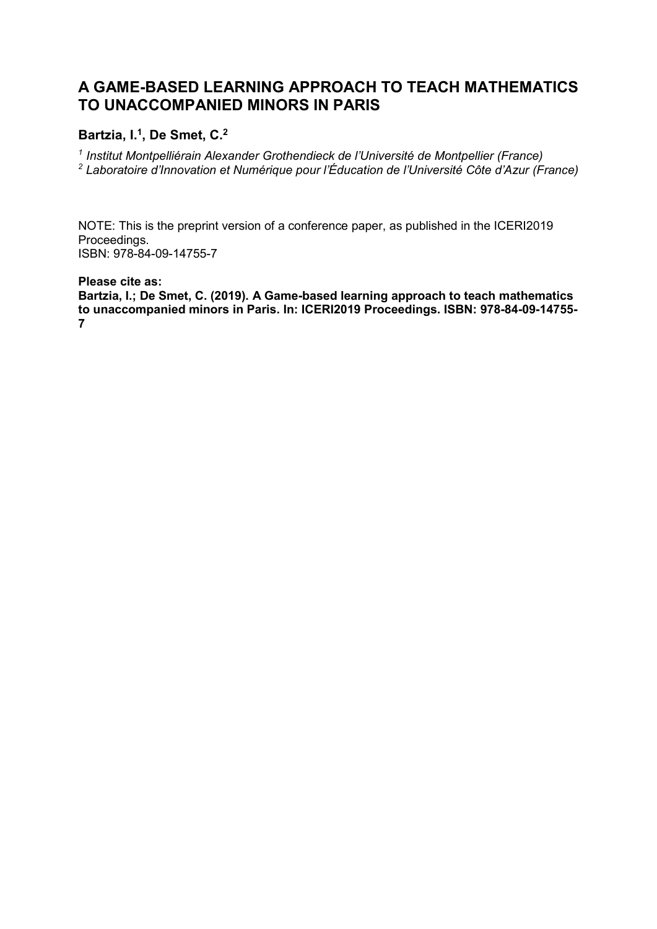# **A GAME-BASED LEARNING APPROACH TO TEACH MATHEMATICS TO UNACCOMPANIED MINORS IN PARIS**

## **Bartzia, I. 1 , De Smet, C.<sup>2</sup>**

*1 Institut Montpelliérain Alexander Grothendieck de l'Université de Montpellier (France) <sup>2</sup> Laboratoire d'Innovation et Numérique pour l'Éducation de l'Université Côte d'Azur (France)*

NOTE: This is the preprint version of a conference paper, as published in the ICERI2019 Proceedings. ISBN: 978-84-09-14755-7

**Please cite as:**

**Bartzia, I.; De Smet, C. (2019). A Game-based learning approach to teach mathematics to unaccompanied minors in Paris. In: ICERI2019 Proceedings. ISBN: 978-84-09-14755- 7**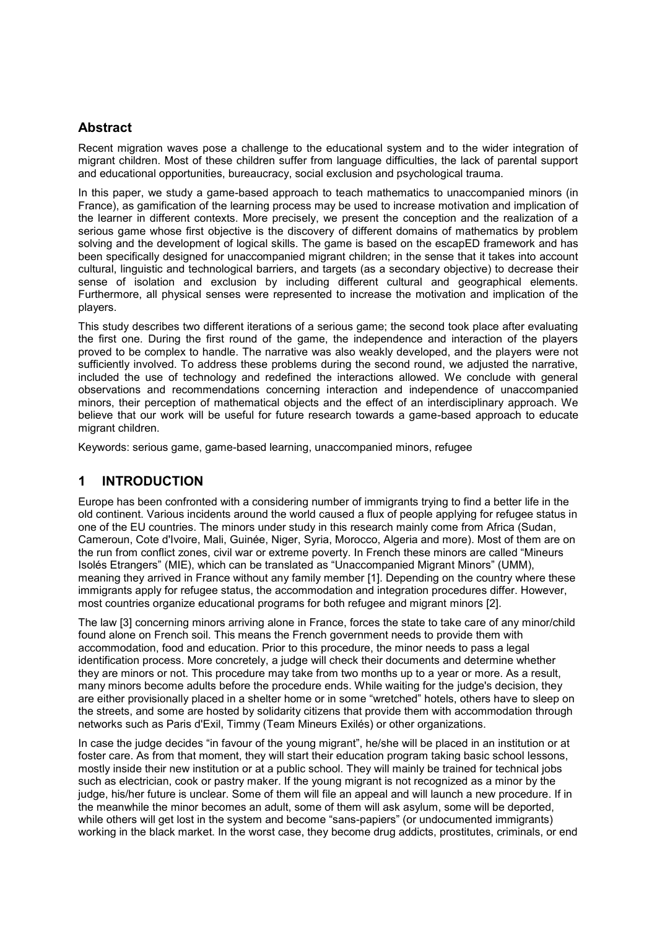## **Abstract**

Recent migration waves pose a challenge to the educational system and to the wider integration of migrant children. Most of these children suffer from language difficulties, the lack of parental support and educational opportunities, bureaucracy, social exclusion and psychological trauma.

In this paper, we study a game-based approach to teach mathematics to unaccompanied minors (in France), as gamification of the learning process may be used to increase motivation and implication of the learner in different contexts. More precisely, we present the conception and the realization of a serious game whose first objective is the discovery of different domains of mathematics by problem solving and the development of logical skills. The game is based on the escapED framework and has been specifically designed for unaccompanied migrant children; in the sense that it takes into account cultural, linguistic and technological barriers, and targets (as a secondary objective) to decrease their sense of isolation and exclusion by including different cultural and geographical elements. Furthermore, all physical senses were represented to increase the motivation and implication of the players.

This study describes two different iterations of a serious game; the second took place after evaluating the first one. During the first round of the game, the independence and interaction of the players proved to be complex to handle. The narrative was also weakly developed, and the players were not sufficiently involved. To address these problems during the second round, we adjusted the narrative, included the use of technology and redefined the interactions allowed. We conclude with general observations and recommendations concerning interaction and independence of unaccompanied minors, their perception of mathematical objects and the effect of an interdisciplinary approach. We believe that our work will be useful for future research towards a game-based approach to educate migrant children.

Keywords: serious game, game-based learning, unaccompanied minors, refugee

## **1 INTRODUCTION**

Europe has been confronted with a considering number of immigrants trying to find a better life in the old continent. Various incidents around the world caused a flux of people applying for refugee status in one of the EU countries. The minors under study in this research mainly come from Africa (Sudan, Cameroun, Cote d'Ivoire, Mali, Guinée, Niger, Syria, Morocco, Algeria and more). Most of them are on the run from conflict zones, civil war or extreme poverty. In French these minors are called "Mineurs Isolés Etrangers" (MIE), which can be translated as "Unaccompanied Migrant Minors" (UMM), meaning they arrived in France without any family member [1]. Depending on the country where these immigrants apply for refugee status, the accommodation and integration procedures differ. However, most countries organize educational programs for both refugee and migrant minors [2].

The law [3] concerning minors arriving alone in France, forces the state to take care of any minor/child found alone on French soil. This means the French government needs to provide them with accommodation, food and education. Prior to this procedure, the minor needs to pass a legal identification process. More concretely, a judge will check their documents and determine whether they are minors or not. This procedure may take from two months up to a year or more. As a result, many minors become adults before the procedure ends. While waiting for the judge's decision, they are either provisionally placed in a shelter home or in some "wretched" hotels, others have to sleep on the streets, and some are hosted by solidarity citizens that provide them with accommodation through networks such as Paris d'Exil, Timmy (Team Mineurs Exilés) or other organizations.

In case the judge decides "in favour of the young migrant", he/she will be placed in an institution or at foster care. As from that moment, they will start their education program taking basic school lessons, mostly inside their new institution or at a public school. They will mainly be trained for technical jobs such as electrician, cook or pastry maker. If the young migrant is not recognized as a minor by the judge, his/her future is unclear. Some of them will file an appeal and will launch a new procedure. If in the meanwhile the minor becomes an adult, some of them will ask asylum, some will be deported, while others will get lost in the system and become "sans-papiers" (or undocumented immigrants) working in the black market. In the worst case, they become drug addicts, prostitutes, criminals, or end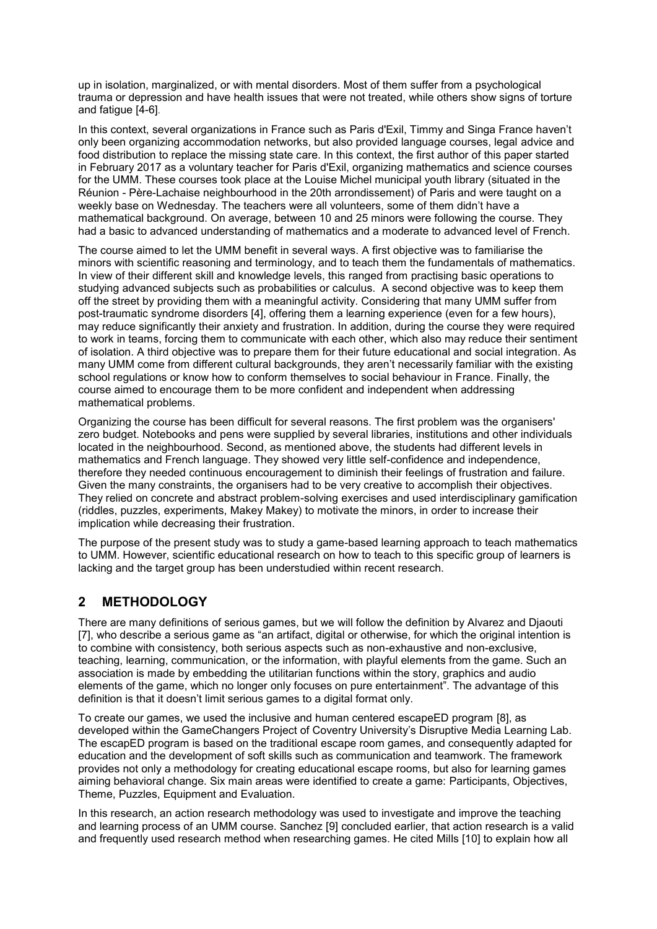up in isolation, marginalized, or with mental disorders. Most of them suffer from a psychological trauma or depression and have health issues that were not treated, while others show signs of torture and fatigue [4-6].

In this context, several organizations in France such as Paris d'Exil, Timmy and Singa France haven't only been organizing accommodation networks, but also provided language courses, legal advice and food distribution to replace the missing state care. In this context, the first author of this paper started in February 2017 as a voluntary teacher for Paris d'Exil, organizing mathematics and science courses for the UMM. These courses took place at the Louise Michel municipal youth library (situated in the Réunion - Père-Lachaise neighbourhood in the 20th arrondissement) of Paris and were taught on a weekly base on Wednesday. The teachers were all volunteers, some of them didn't have a mathematical background. On average, between 10 and 25 minors were following the course. They had a basic to advanced understanding of mathematics and a moderate to advanced level of French.

The course aimed to let the UMM benefit in several ways. A first objective was to familiarise the minors with scientific reasoning and terminology, and to teach them the fundamentals of mathematics. In view of their different skill and knowledge levels, this ranged from practising basic operations to studying advanced subjects such as probabilities or calculus. A second objective was to keep them off the street by providing them with a meaningful activity. Considering that many UMM suffer from post-traumatic syndrome disorders [4], offering them a learning experience (even for a few hours), may reduce significantly their anxiety and frustration. In addition, during the course they were required to work in teams, forcing them to communicate with each other, which also may reduce their sentiment of isolation. A third objective was to prepare them for their future educational and social integration. As many UMM come from different cultural backgrounds, they aren't necessarily familiar with the existing school regulations or know how to conform themselves to social behaviour in France. Finally, the course aimed to encourage them to be more confident and independent when addressing mathematical problems.

Organizing the course has been difficult for several reasons. The first problem was the organisers' zero budget. Notebooks and pens were supplied by several libraries, institutions and other individuals located in the neighbourhood. Second, as mentioned above, the students had different levels in mathematics and French language. They showed very little self-confidence and independence, therefore they needed continuous encouragement to diminish their feelings of frustration and failure. Given the many constraints, the organisers had to be very creative to accomplish their objectives. They relied on concrete and abstract problem-solving exercises and used interdisciplinary gamification (riddles, puzzles, experiments, Makey Makey) to motivate the minors, in order to increase their implication while decreasing their frustration.

The purpose of the present study was to study a game-based learning approach to teach mathematics to UMM. However, scientific educational research on how to teach to this specific group of learners is lacking and the target group has been understudied within recent research.

## **2 METHODOLOGY**

There are many definitions of serious games, but we will follow the definition by Alvarez and Djaouti [7], who describe a serious game as "an artifact, digital or otherwise, for which the original intention is to combine with consistency, both serious aspects such as non-exhaustive and non-exclusive, teaching, learning, communication, or the information, with playful elements from the game. Such an association is made by embedding the utilitarian functions within the story, graphics and audio elements of the game, which no longer only focuses on pure entertainment". The advantage of this definition is that it doesn't limit serious games to a digital format only.

To create our games, we used the inclusive and human centered escapeED program [8], as developed within the GameChangers Project of Coventry University's Disruptive Media Learning Lab. The escapED program is based on the traditional escape room games, and consequently adapted for education and the development of soft skills such as communication and teamwork. The framework provides not only a methodology for creating educational escape rooms, but also for learning games aiming behavioral change. Six main areas were identified to create a game: Participants, Objectives, Theme, Puzzles, Equipment and Evaluation.

In this research, an action research methodology was used to investigate and improve the teaching and learning process of an UMM course. Sanchez [9] concluded earlier, that action research is a valid and frequently used research method when researching games. He cited Mills [10] to explain how all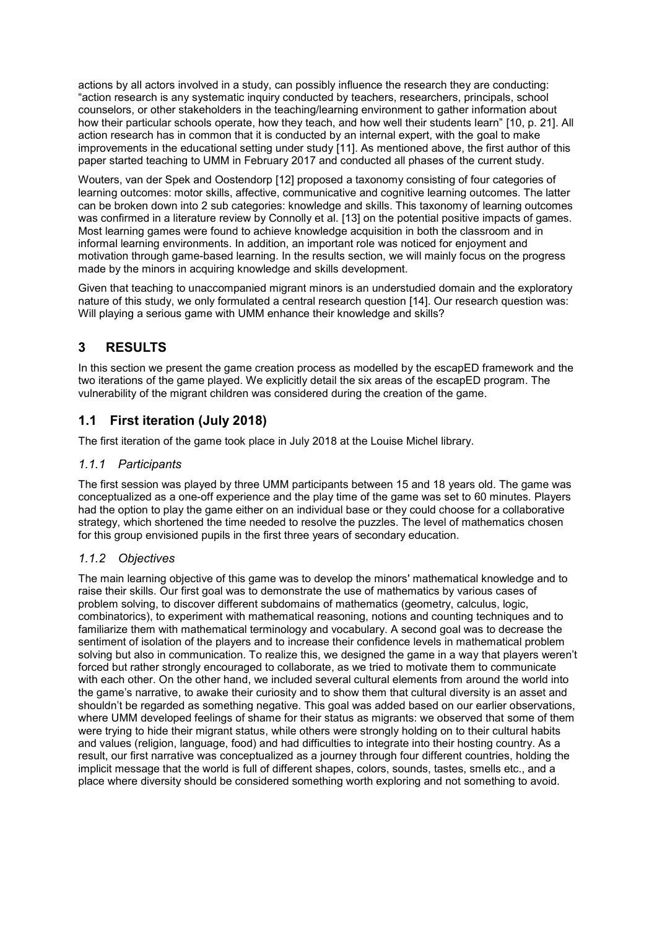actions by all actors involved in a study, can possibly influence the research they are conducting: "action research is any systematic inquiry conducted by teachers, researchers, principals, school counselors, or other stakeholders in the teaching/learning environment to gather information about how their particular schools operate, how they teach, and how well their students learn" [10, p. 21]. All action research has in common that it is conducted by an internal expert, with the goal to make improvements in the educational setting under study [11]. As mentioned above, the first author of this paper started teaching to UMM in February 2017 and conducted all phases of the current study.

Wouters, van der Spek and Oostendorp [12] proposed a taxonomy consisting of four categories of learning outcomes: motor skills, affective, communicative and cognitive learning outcomes. The latter can be broken down into 2 sub categories: knowledge and skills. This taxonomy of learning outcomes was confirmed in a literature review by Connolly et al. [13] on the potential positive impacts of games. Most learning games were found to achieve knowledge acquisition in both the classroom and in informal learning environments. In addition, an important role was noticed for enjoyment and motivation through game-based learning. In the results section, we will mainly focus on the progress made by the minors in acquiring knowledge and skills development.

Given that teaching to unaccompanied migrant minors is an understudied domain and the exploratory nature of this study, we only formulated a central research question [14]. Our research question was: Will playing a serious game with UMM enhance their knowledge and skills?

## **3 RESULTS**

In this section we present the game creation process as modelled by the escapED framework and the two iterations of the game played. We explicitly detail the six areas of the escapED program. The vulnerability of the migrant children was considered during the creation of the game.

## **1.1 First iteration (July 2018)**

The first iteration of the game took place in July 2018 at the Louise Michel library.

### *1.1.1 Participants*

The first session was played by three UMM participants between 15 and 18 years old. The game was conceptualized as a one-off experience and the play time of the game was set to 60 minutes. Players had the option to play the game either on an individual base or they could choose for a collaborative strategy, which shortened the time needed to resolve the puzzles. The level of mathematics chosen for this group envisioned pupils in the first three years of secondary education.

## *1.1.2 Objectives*

The main learning objective of this game was to develop the minors' mathematical knowledge and to raise their skills. Our first goal was to demonstrate the use of mathematics by various cases of problem solving, to discover different subdomains of mathematics (geometry, calculus, logic, combinatorics), to experiment with mathematical reasoning, notions and counting techniques and to familiarize them with mathematical terminology and vocabulary. A second goal was to decrease the sentiment of isolation of the players and to increase their confidence levels in mathematical problem solving but also in communication. To realize this, we designed the game in a way that players weren't forced but rather strongly encouraged to collaborate, as we tried to motivate them to communicate with each other. On the other hand, we included several cultural elements from around the world into the game's narrative, to awake their curiosity and to show them that cultural diversity is an asset and shouldn't be regarded as something negative. This goal was added based on our earlier observations, where UMM developed feelings of shame for their status as migrants: we observed that some of them were trying to hide their migrant status, while others were strongly holding on to their cultural habits and values (religion, language, food) and had difficulties to integrate into their hosting country. As a result, our first narrative was conceptualized as a journey through four different countries, holding the implicit message that the world is full of different shapes, colors, sounds, tastes, smells etc., and a place where diversity should be considered something worth exploring and not something to avoid.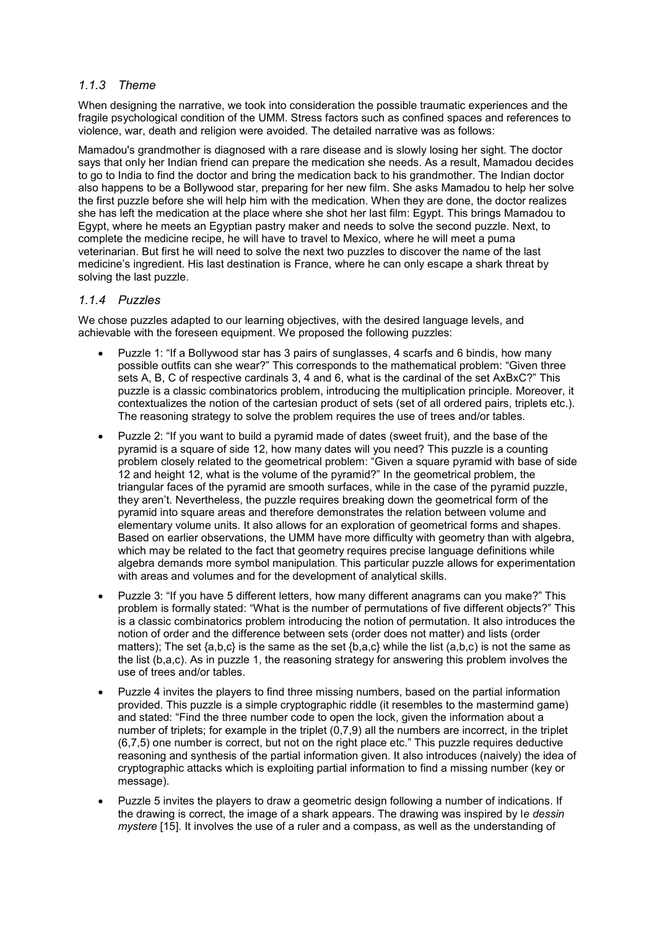### *1.1.3 Theme*

When designing the narrative, we took into consideration the possible traumatic experiences and the fragile psychological condition of the UMM. Stress factors such as confined spaces and references to violence, war, death and religion were avoided. The detailed narrative was as follows:

Mamadou's grandmother is diagnosed with a rare disease and is slowly losing her sight. The doctor says that only her Indian friend can prepare the medication she needs. As a result, Mamadou decides to go to India to find the doctor and bring the medication back to his grandmother. The Indian doctor also happens to be a Bollywood star, preparing for her new film. She asks Mamadou to help her solve the first puzzle before she will help him with the medication. When they are done, the doctor realizes she has left the medication at the place where she shot her last film: Egypt. This brings Mamadou to Egypt, where he meets an Egyptian pastry maker and needs to solve the second puzzle. Next, to complete the medicine recipe, he will have to travel to Mexico, where he will meet a puma veterinarian. But first he will need to solve the next two puzzles to discover the name of the last medicine's ingredient. His last destination is France, where he can only escape a shark threat by solving the last puzzle.

#### *1.1.4 Puzzles*

We chose puzzles adapted to our learning objectives, with the desired language levels, and achievable with the foreseen equipment. We proposed the following puzzles:

- Puzzle 1: "If a Bollywood star has 3 pairs of sunglasses, 4 scarfs and 6 bindis, how many possible outfits can she wear?" This corresponds to the mathematical problem: "Given three sets A, B, C of respective cardinals 3, 4 and 6, what is the cardinal of the set AxBxC?" This puzzle is a classic combinatorics problem, introducing the multiplication principle. Moreover, it contextualizes the notion of the cartesian product of sets (set of all ordered pairs, triplets etc.). The reasoning strategy to solve the problem requires the use of trees and/or tables.
- Puzzle 2: "If you want to build a pyramid made of dates (sweet fruit), and the base of the pyramid is a square of side 12, how many dates will you need? This puzzle is a counting problem closely related to the geometrical problem: "Given a square pyramid with base of side 12 and height 12, what is the volume of the pyramid?" In the geometrical problem, the triangular faces of the pyramid are smooth surfaces, while in the case of the pyramid puzzle, they aren't. Nevertheless, the puzzle requires breaking down the geometrical form of the pyramid into square areas and therefore demonstrates the relation between volume and elementary volume units. It also allows for an exploration of geometrical forms and shapes. Based on earlier observations, the UMM have more difficulty with geometry than with algebra, which may be related to the fact that geometry requires precise language definitions while algebra demands more symbol manipulation. This particular puzzle allows for experimentation with areas and volumes and for the development of analytical skills.
- Puzzle 3: "If you have 5 different letters, how many different anagrams can you make?" This problem is formally stated: "What is the number of permutations of five different objects?" This is a classic combinatorics problem introducing the notion of permutation. It also introduces the notion of order and the difference between sets (order does not matter) and lists (order matters); The set {a,b,c} is the same as the set {b,a,c} while the list (a,b,c) is not the same as the list (b,a,c). As in puzzle 1, the reasoning strategy for answering this problem involves the use of trees and/or tables.
- Puzzle 4 invites the players to find three missing numbers, based on the partial information provided. This puzzle is a simple cryptographic riddle (it resembles to the mastermind game) and stated: "Find the three number code to open the lock, given the information about a number of triplets; for example in the triplet (0,7,9) all the numbers are incorrect, in the triplet (6,7,5) one number is correct, but not on the right place etc." This puzzle requires deductive reasoning and synthesis of the partial information given. It also introduces (naively) the idea of cryptographic attacks which is exploiting partial information to find a missing number (key or message).
- Puzzle 5 invites the players to draw a geometric design following a number of indications. If the drawing is correct, the image of a shark appears. The drawing was inspired by l*e dessin mystere* [15]. It involves the use of a ruler and a compass, as well as the understanding of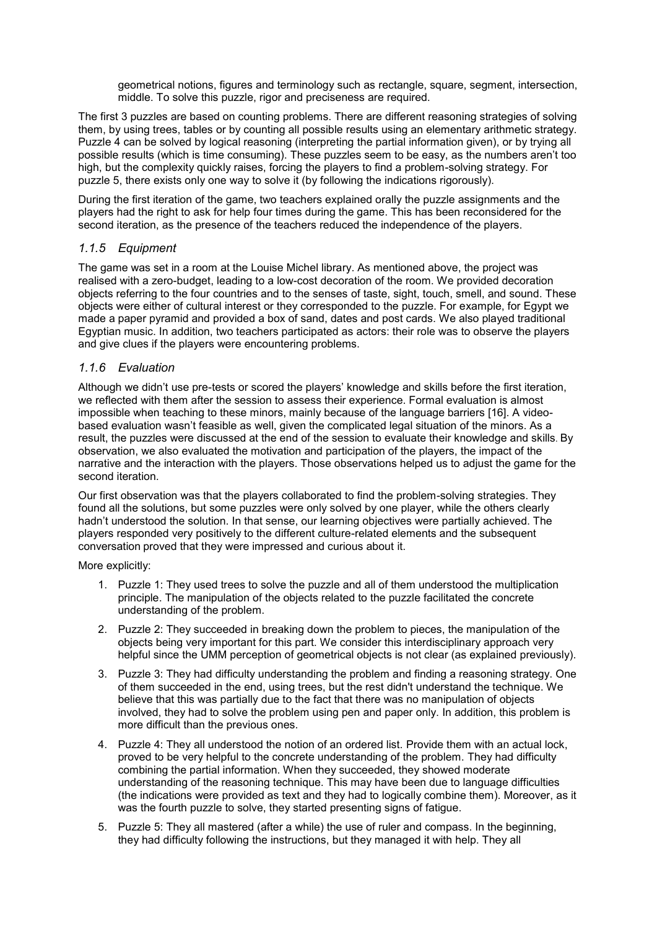geometrical notions, figures and terminology such as rectangle, square, segment, intersection, middle. To solve this puzzle, rigor and preciseness are required.

The first 3 puzzles are based on counting problems. There are different reasoning strategies of solving them, by using trees, tables or by counting all possible results using an elementary arithmetic strategy. Puzzle 4 can be solved by logical reasoning (interpreting the partial information given), or by trying all possible results (which is time consuming). These puzzles seem to be easy, as the numbers aren't too high, but the complexity quickly raises, forcing the players to find a problem-solving strategy. For puzzle 5, there exists only one way to solve it (by following the indications rigorously).

During the first iteration of the game, two teachers explained orally the puzzle assignments and the players had the right to ask for help four times during the game. This has been reconsidered for the second iteration, as the presence of the teachers reduced the independence of the players.

#### *1.1.5 Equipment*

The game was set in a room at the Louise Michel library. As mentioned above, the project was realised with a zero-budget, leading to a low-cost decoration of the room. We provided decoration objects referring to the four countries and to the senses of taste, sight, touch, smell, and sound. These objects were either of cultural interest or they corresponded to the puzzle. For example, for Egypt we made a paper pyramid and provided a box of sand, dates and post cards. We also played traditional Egyptian music. In addition, two teachers participated as actors: their role was to observe the players and give clues if the players were encountering problems.

#### *1.1.6 Evaluation*

Although we didn't use pre-tests or scored the players' knowledge and skills before the first iteration, we reflected with them after the session to assess their experience. Formal evaluation is almost impossible when teaching to these minors, mainly because of the language barriers [16]. A videobased evaluation wasn't feasible as well, given the complicated legal situation of the minors. As a result, the puzzles were discussed at the end of the session to evaluate their knowledge and skills. By observation, we also evaluated the motivation and participation of the players, the impact of the narrative and the interaction with the players. Those observations helped us to adjust the game for the second iteration.

Our first observation was that the players collaborated to find the problem-solving strategies. They found all the solutions, but some puzzles were only solved by one player, while the others clearly hadn't understood the solution. In that sense, our learning objectives were partially achieved. The players responded very positively to the different culture-related elements and the subsequent conversation proved that they were impressed and curious about it.

More explicitly:

- 1. Puzzle 1: They used trees to solve the puzzle and all of them understood the multiplication principle. The manipulation of the objects related to the puzzle facilitated the concrete understanding of the problem.
- 2. Puzzle 2: They succeeded in breaking down the problem to pieces, the manipulation of the objects being very important for this part. We consider this interdisciplinary approach very helpful since the UMM perception of geometrical objects is not clear (as explained previously).
- 3. Puzzle 3: They had difficulty understanding the problem and finding a reasoning strategy. One of them succeeded in the end, using trees, but the rest didn't understand the technique. We believe that this was partially due to the fact that there was no manipulation of objects involved, they had to solve the problem using pen and paper only. In addition, this problem is more difficult than the previous ones.
- 4. Puzzle 4: They all understood the notion of an ordered list. Provide them with an actual lock, proved to be very helpful to the concrete understanding of the problem. They had difficulty combining the partial information. When they succeeded, they showed moderate understanding of the reasoning technique. This may have been due to language difficulties (the indications were provided as text and they had to logically combine them). Moreover, as it was the fourth puzzle to solve, they started presenting signs of fatigue.
- 5. Puzzle 5: They all mastered (after a while) the use of ruler and compass. In the beginning, they had difficulty following the instructions, but they managed it with help. They all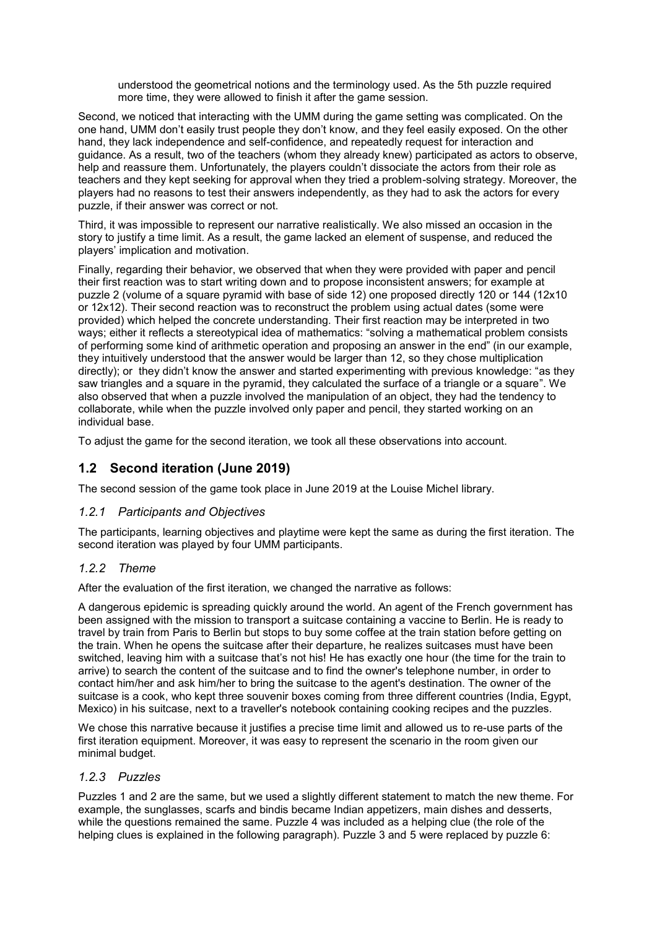understood the geometrical notions and the terminology used. As the 5th puzzle required more time, they were allowed to finish it after the game session.

Second, we noticed that interacting with the UMM during the game setting was complicated. On the one hand, UMM don't easily trust people they don't know, and they feel easily exposed. On the other hand, they lack independence and self-confidence, and repeatedly request for interaction and guidance. As a result, two of the teachers (whom they already knew) participated as actors to observe, help and reassure them. Unfortunately, the players couldn't dissociate the actors from their role as teachers and they kept seeking for approval when they tried a problem-solving strategy. Moreover, the players had no reasons to test their answers independently, as they had to ask the actors for every puzzle, if their answer was correct or not.

Third, it was impossible to represent our narrative realistically. We also missed an occasion in the story to justify a time limit. As a result, the game lacked an element of suspense, and reduced the players' implication and motivation.

Finally, regarding their behavior, we observed that when they were provided with paper and pencil their first reaction was to start writing down and to propose inconsistent answers; for example at puzzle 2 (volume of a square pyramid with base of side 12) one proposed directly 120 or 144 (12x10 or 12x12). Their second reaction was to reconstruct the problem using actual dates (some were provided) which helped the concrete understanding. Their first reaction may be interpreted in two ways; either it reflects a stereotypical idea of mathematics: "solving a mathematical problem consists of performing some kind of arithmetic operation and proposing an answer in the end" (in our example, they intuitively understood that the answer would be larger than 12, so they chose multiplication directly); or they didn't know the answer and started experimenting with previous knowledge: "as they saw triangles and a square in the pyramid, they calculated the surface of a triangle or a square". We also observed that when a puzzle involved the manipulation of an object, they had the tendency to collaborate, while when the puzzle involved only paper and pencil, they started working on an individual base.

To adjust the game for the second iteration, we took all these observations into account.

## **1.2 Second iteration (June 2019)**

The second session of the game took place in June 2019 at the Louise Michel library.

#### *1.2.1 Participants and Objectives*

The participants, learning objectives and playtime were kept the same as during the first iteration. The second iteration was played by four UMM participants.

#### *1.2.2 Theme*

After the evaluation of the first iteration, we changed the narrative as follows:

A dangerous epidemic is spreading quickly around the world. An agent of the French government has been assigned with the mission to transport a suitcase containing a vaccine to Berlin. He is ready to travel by train from Paris to Berlin but stops to buy some coffee at the train station before getting on the train. When he opens the suitcase after their departure, he realizes suitcases must have been switched, leaving him with a suitcase that's not his! He has exactly one hour (the time for the train to arrive) to search the content of the suitcase and to find the owner's telephone number, in order to contact him/her and ask him/her to bring the suitcase to the agent's destination. The owner of the suitcase is a cook, who kept three souvenir boxes coming from three different countries (India, Egypt, Mexico) in his suitcase, next to a traveller's notebook containing cooking recipes and the puzzles.

We chose this narrative because it justifies a precise time limit and allowed us to re-use parts of the first iteration equipment. Moreover, it was easy to represent the scenario in the room given our minimal budget.

#### *1.2.3 Puzzles*

Puzzles 1 and 2 are the same, but we used a slightly different statement to match the new theme. For example, the sunglasses, scarfs and bindis became Indian appetizers, main dishes and desserts, while the questions remained the same. Puzzle 4 was included as a helping clue (the role of the helping clues is explained in the following paragraph). Puzzle 3 and 5 were replaced by puzzle 6: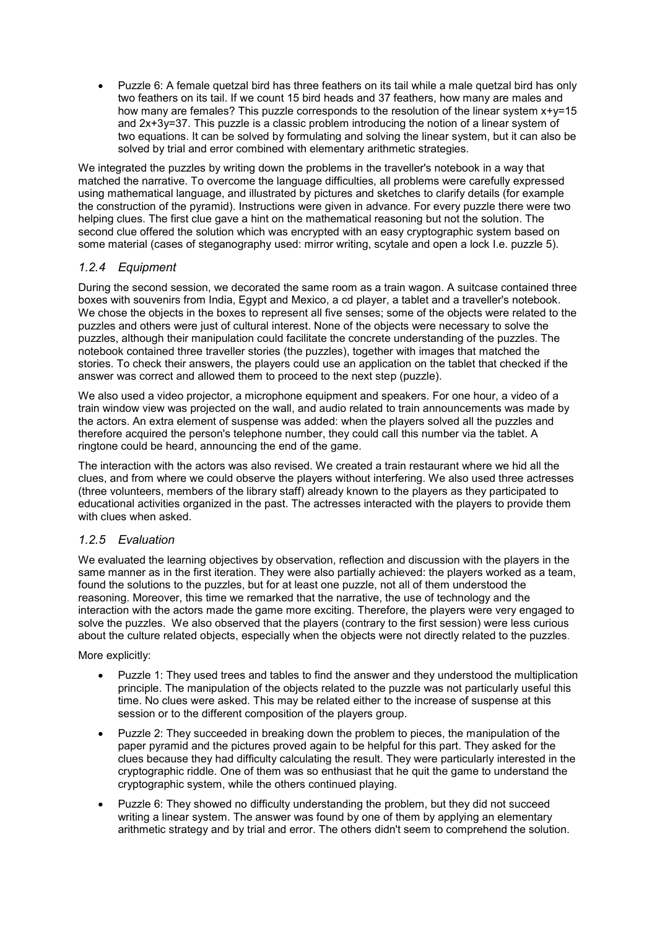• Puzzle 6: A female quetzal bird has three feathers on its tail while a male quetzal bird has only two feathers on its tail. If we count 15 bird heads and 37 feathers, how many are males and how many are females? This puzzle corresponds to the resolution of the linear system x+y=15 and 2x+3y=37. This puzzle is a classic problem introducing the notion of a linear system of two equations. It can be solved by formulating and solving the linear system, but it can also be solved by trial and error combined with elementary arithmetic strategies.

We integrated the puzzles by writing down the problems in the traveller's notebook in a way that matched the narrative. To overcome the language difficulties, all problems were carefully expressed using mathematical language, and illustrated by pictures and sketches to clarify details (for example the construction of the pyramid). Instructions were given in advance. For every puzzle there were two helping clues. The first clue gave a hint on the mathematical reasoning but not the solution. The second clue offered the solution which was encrypted with an easy cryptographic system based on some material (cases of steganography used: mirror writing, scytale and open a lock I.e. puzzle 5).

### *1.2.4 Equipment*

During the second session, we decorated the same room as a train wagon. A suitcase contained three boxes with souvenirs from India, Egypt and Mexico, a cd player, a tablet and a traveller's notebook. We chose the objects in the boxes to represent all five senses; some of the objects were related to the puzzles and others were just of cultural interest. None of the objects were necessary to solve the puzzles, although their manipulation could facilitate the concrete understanding of the puzzles. The notebook contained three traveller stories (the puzzles), together with images that matched the stories. To check their answers, the players could use an application on the tablet that checked if the answer was correct and allowed them to proceed to the next step (puzzle).

We also used a video projector, a microphone equipment and speakers. For one hour, a video of a train window view was projected on the wall, and audio related to train announcements was made by the actors. An extra element of suspense was added: when the players solved all the puzzles and therefore acquired the person's telephone number, they could call this number via the tablet. A ringtone could be heard, announcing the end of the game.

The interaction with the actors was also revised. We created a train restaurant where we hid all the clues, and from where we could observe the players without interfering. We also used three actresses (three volunteers, members of the library staff) already known to the players as they participated to educational activities organized in the past. The actresses interacted with the players to provide them with clues when asked.

### *1.2.5 Evaluation*

We evaluated the learning objectives by observation, reflection and discussion with the players in the same manner as in the first iteration. They were also partially achieved: the players worked as a team, found the solutions to the puzzles, but for at least one puzzle, not all of them understood the reasoning. Moreover, this time we remarked that the narrative, the use of technology and the interaction with the actors made the game more exciting. Therefore, the players were very engaged to solve the puzzles. We also observed that the players (contrary to the first session) were less curious about the culture related objects, especially when the objects were not directly related to the puzzles.

More explicitly:

- Puzzle 1: They used trees and tables to find the answer and they understood the multiplication principle. The manipulation of the objects related to the puzzle was not particularly useful this time. No clues were asked. This may be related either to the increase of suspense at this session or to the different composition of the players group.
- Puzzle 2: They succeeded in breaking down the problem to pieces, the manipulation of the paper pyramid and the pictures proved again to be helpful for this part. They asked for the clues because they had difficulty calculating the result. They were particularly interested in the cryptographic riddle. One of them was so enthusiast that he quit the game to understand the cryptographic system, while the others continued playing.
- Puzzle 6: They showed no difficulty understanding the problem, but they did not succeed writing a linear system. The answer was found by one of them by applying an elementary arithmetic strategy and by trial and error. The others didn't seem to comprehend the solution.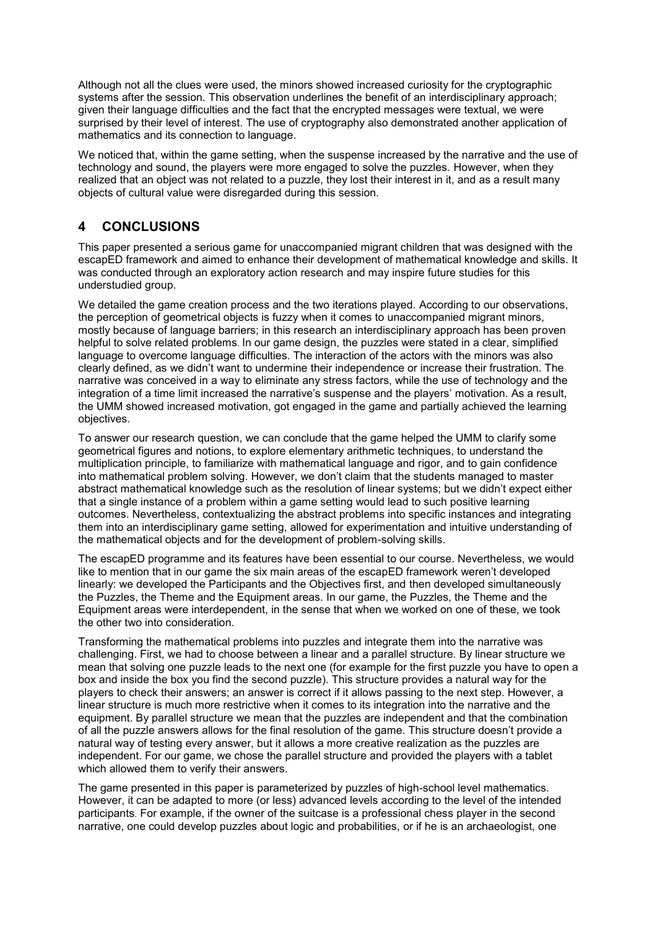Although not all the clues were used, the minors showed increased curiosity for the cryptographic systems after the session. This observation underlines the benefit of an interdisciplinary approach; given their language difficulties and the fact that the encrypted messages were textual, we were surprised by their level of interest. The use of cryptography also demonstrated another application of mathematics and its connection to language.

We noticed that, within the game setting, when the suspense increased by the narrative and the use of technology and sound, the players were more engaged to solve the puzzles. However, when they realized that an object was not related to a puzzle, they lost their interest in it, and as a result many objects of cultural value were disregarded during this session.

## **4 CONCLUSIONS**

This paper presented a serious game for unaccompanied migrant children that was designed with the escapED framework and aimed to enhance their development of mathematical knowledge and skills. It was conducted through an exploratory action research and may inspire future studies for this understudied group.

We detailed the game creation process and the two iterations played. According to our observations, the perception of geometrical objects is fuzzy when it comes to unaccompanied migrant minors, mostly because of language barriers; in this research an interdisciplinary approach has been proven helpful to solve related problems. In our game design, the puzzles were stated in a clear, simplified language to overcome language difficulties. The interaction of the actors with the minors was also clearly defined, as we didn't want to undermine their independence or increase their frustration. The narrative was conceived in a way to eliminate any stress factors, while the use of technology and the integration of a time limit increased the narrative's suspense and the players' motivation. As a result, the UMM showed increased motivation, got engaged in the game and partially achieved the learning objectives.

To answer our research question, we can conclude that the game helped the UMM to clarify some geometrical figures and notions, to explore elementary arithmetic techniques, to understand the multiplication principle, to familiarize with mathematical language and rigor, and to gain confidence into mathematical problem solving. However, we don't claim that the students managed to master abstract mathematical knowledge such as the resolution of linear systems; but we didn't expect either that a single instance of a problem within a game setting would lead to such positive learning outcomes. Nevertheless, contextualizing the abstract problems into specific instances and integrating them into an interdisciplinary game setting, allowed for experimentation and intuitive understanding of the mathematical objects and for the development of problem-solving skills.

The escapED programme and its features have been essential to our course. Nevertheless, we would like to mention that in our game the six main areas of the escapED framework weren't developed linearly: we developed the Participants and the Objectives first, and then developed simultaneously the Puzzles, the Theme and the Equipment areas. In our game, the Puzzles, the Theme and the Equipment areas were interdependent, in the sense that when we worked on one of these, we took the other two into consideration.

Transforming the mathematical problems into puzzles and integrate them into the narrative was challenging. First, we had to choose between a linear and a parallel structure. By linear structure we mean that solving one puzzle leads to the next one (for example for the first puzzle you have to open a box and inside the box you find the second puzzle). This structure provides a natural way for the players to check their answers; an answer is correct if it allows passing to the next step. However, a linear structure is much more restrictive when it comes to its integration into the narrative and the equipment. By parallel structure we mean that the puzzles are independent and that the combination of all the puzzle answers allows for the final resolution of the game. This structure doesn't provide a natural way of testing every answer, but it allows a more creative realization as the puzzles are independent. For our game, we chose the parallel structure and provided the players with a tablet which allowed them to verify their answers.

The game presented in this paper is parameterized by puzzles of high-school level mathematics. However, it can be adapted to more (or less) advanced levels according to the level of the intended participants. For example, if the owner of the suitcase is a professional chess player in the second narrative, one could develop puzzles about logic and probabilities, or if he is an archaeologist, one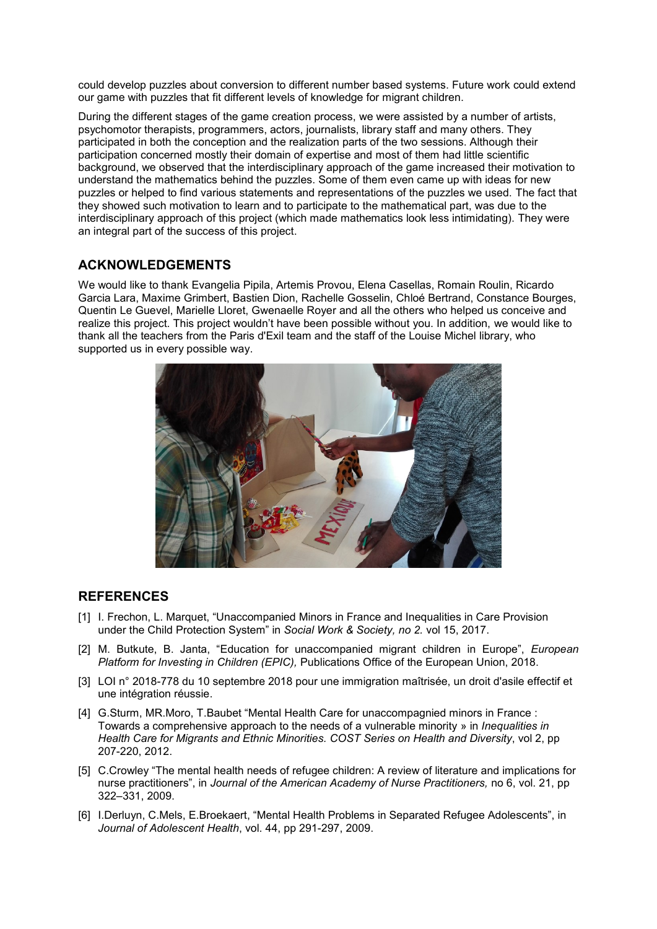could develop puzzles about conversion to different number based systems. Future work could extend our game with puzzles that fit different levels of knowledge for migrant children.

During the different stages of the game creation process, we were assisted by a number of artists, psychomotor therapists, programmers, actors, journalists, library staff and many others. They participated in both the conception and the realization parts of the two sessions. Although their participation concerned mostly their domain of expertise and most of them had little scientific background, we observed that the interdisciplinary approach of the game increased their motivation to understand the mathematics behind the puzzles. Some of them even came up with ideas for new puzzles or helped to find various statements and representations of the puzzles we used. The fact that they showed such motivation to learn and to participate to the mathematical part, was due to the interdisciplinary approach of this project (which made mathematics look less intimidating). They were an integral part of the success of this project.

### **ACKNOWLEDGEMENTS**

We would like to thank Evangelia Pipila, Artemis Provou, Elena Casellas, Romain Roulin, Ricardo Garcia Lara, Maxime Grimbert, Bastien Dion, Rachelle Gosselin, Chloé Bertrand, Constance Bourges, Quentin Le Guevel, Marielle Lloret, Gwenaelle Royer and all the others who helped us conceive and realize this project. This project wouldn't have been possible without you. In addition, we would like to thank all the teachers from the Paris d'Exil team and the staff of the Louise Michel library, who supported us in every possible way.



### **REFERENCES**

- [1] I. Frechon, L. Marquet, "Unaccompanied Minors in France and Inequalities in Care Provision under the Child Protection System" in *Social Work & Society, no 2.* vol 15, 2017.
- [2] M. Butkute, B. Janta, "Education for unaccompanied migrant children in Europe", *European Platform for Investing in Children (EPIC),* Publications Office of the European Union, 2018.
- [3] LOI n° 2018-778 du 10 septembre 2018 pour une immigration maîtrisée, un droit d'asile effectif et une intégration réussie.
- [4] G.Sturm, MR.Moro, T.Baubet "Mental Health Care for unaccompagnied minors in France : Towards a comprehensive approach to the needs of a vulnerable minority » in *Inequalities in Health Care for Migrants and Ethnic Minorities. COST Series on Health and Diversity*, vol 2, pp 207-220, 2012.
- [5] C.Crowley "The mental health needs of refugee children: A review of literature and implications for nurse practitioners", in *Journal of the American Academy of Nurse Practitioners,* no 6, vol. 21, pp 322–331, 2009.
- [6] I.Derluyn, C.Mels, E.Broekaert, "Mental Health Problems in Separated Refugee Adolescents", in *Journal of Adolescent Health*, vol. 44, pp 291-297, 2009.